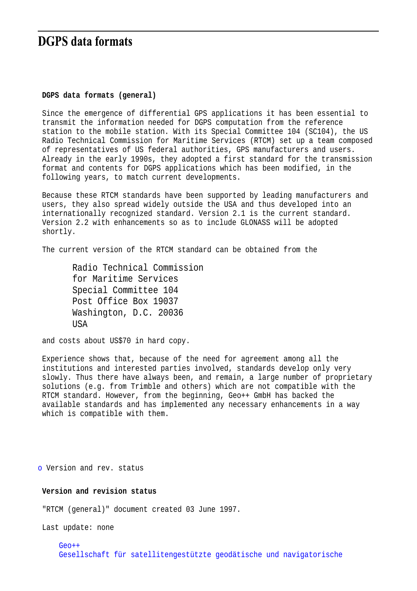# **DGPS** data formats

#### **DGPS data formats (general)**

Since the emergence of differential GPS applications it has been essential to transmit the information needed for DGPS computation from the reference station to the mobile station. With its Special Committee 104 (SC104), the US Radio Technical Commission for Maritime Services (RTCM) set up a team composed of representatives of US federal authorities, GPS manufacturers and users. Already in the early 1990s, they adopted a first standard for the transmission format and contents for DGPS applications which has been modified, in the following years, to match current developments.

Because these RTCM standards have been supported by leading manufacturers and users, they also spread widely outside the USA and thus developed into an internationally recognized standard. Version 2.1 is the current standard. Version 2.2 with enhancements so as to include GLONASS will be adopted shortly.

The current version of the RTCM standard can be obtained from the

Radio Technical Commission for Maritime Services Special Committee 104 Post Office Box 19037 Washington, D.C. 20036 USA

and costs about US\$70 in hard copy.

Experience shows that, because of the need for agreement among all the institutions and interested parties involved, standards develop only very slowly. Thus there have always been, and remain, a large number of proprietary solutions (e.g. from Trimble and others) which are not compatible with the RTCM standard. However, from the beginning, Geo++ GmbH has backed the available standards and has implemented any necessary enhancements in a way which is compatible with them.

o Version and rev. status

### **Version and revision status**

"RTCM (general)" document created 03 June 1997.

Last update: none

Geo++ Gesellschaft für satellitengestützte geodätische und navigatorische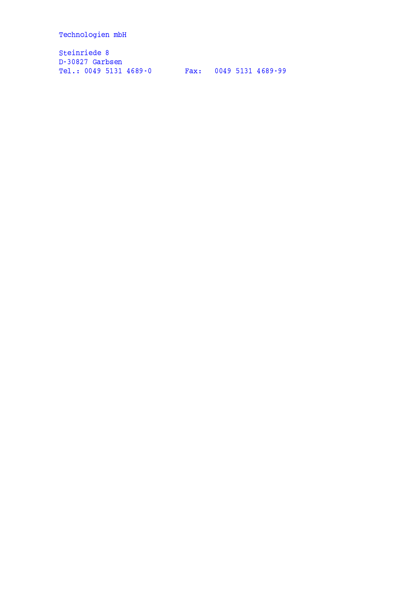Technologien mbH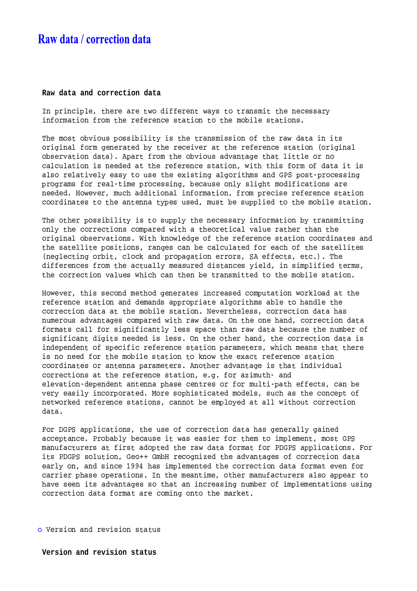# Raw data / correction data

#### Raw data and correction data

In principle, there are two different ways to transmit the necessary information from the reference station to the mobile stations.

The most obvious possibility is the transmission of the raw data in its original form generated by the receiver at the reference station (original observation data). Apart from the obvious advantage that little or no calculation is needed at the reference station, with this form of data it is also relatively easy to use the existing algorithms and GPS post-processing programs for real-time processing, because only slight modifications are needed. However, much additional information, from precise reference station coordinates to the antenna types used, must be supplied to the mobile station.

The other possibility is to supply the necessary information by transmitting only the corrections compared with a theoretical value rather than the original observations. With knowledge of the reference station coordinates and the satellite positions, ranges can be calculated for each of the satellites (neglecting orbit, clock and propagation errors, SA effects, etc.). The differences from the actually measured distances yield, in simplified terms, the correction values which can then be transmitted to the mobile station.

However, this second method generates increased computation workload at the reference station and demands appropriate algorithms able to handle the correction data at the mobile station. Nevertheless, correction data has numerous advantages compared with raw data. On the one hand, correction data formats call for significantly less space than raw data because the number of significant digits needed is less. On the other hand, the correction data is independent of specific reference station parameters, which means that there is no need for the mobile station to know the exact reference station coordinates or antenna parameters. Another advantage is that individual corrections at the reference station, e.g. for azimuth- and elevation-dependent antenna phase centres or for multi-path effects, can be very easily incorporated. More sophisticated models, such as the concept of networked reference stations, cannot be employed at all without correction data.

For DGPS applications, the use of correction data has generally gained acceptance. Probably because it was easier for them to implement, most GPS manufacturers at first adopted the raw data format for PDGPS applications. For its PDGPS solution, Geo++ GmbH recognized the advantages of correction data early on, and since 1994 has implemented the correction data format even for carrier phase operations. In the meantime, other manufacturers also appear to have seen its advantages so that an increasing number of implementations using correction data format are coming onto the market.

o Version and revision status

Version and revision status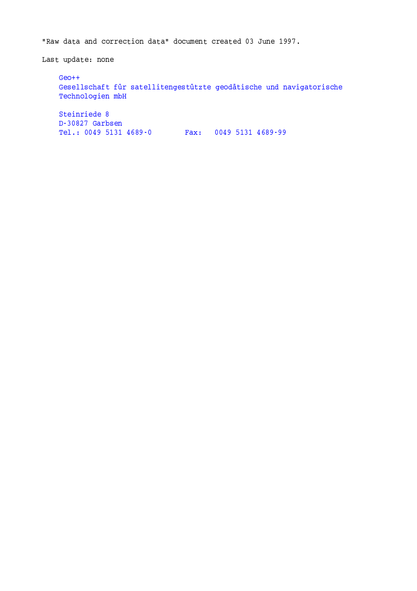"Raw data and correction data" document created 03 June 1997.

Last update: none

 $Geo++$ Gesellschaft für satellitengestützte geodätische und navigatorische Technologien mbH Steinriede 8 D-30827 Garbsen Tel.: 0049 5131 4689-0 Fax: 0049 5131 4689-99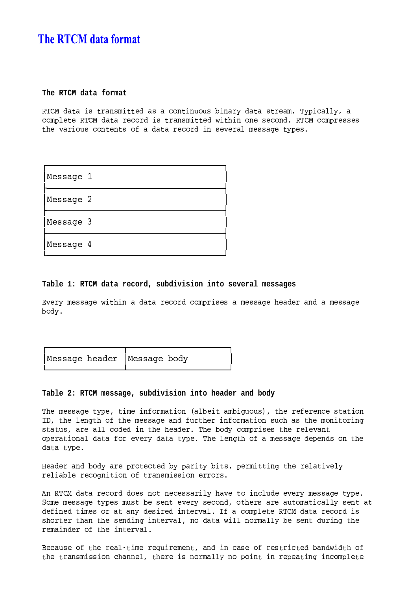# **The RTCM data format**

### **The RTCM data format**

W-\Q]-" "! -# "-# !"-#<"!- -?-?-#' -"-;<-" "5# -"^\$:-;)2 -"-;4'" -)-2- !W-\Q@-" "!---! -# "-# <sup>6</sup> -!-5#---\$:W-\Q]-)-2-#-#-# ->"- -?#<- - #5-9<"!-" "5---< -<#-)>-"3#-#"- ;)2#\$

| Message 1 |  |
|-----------|--|
| Message 2 |  |
| Message 3 |  |
| Message 4 |  |

### **Table 1: RTCM data record, subdivision into several messages**

u>-;'#-#"- <sup>6</sup> -!"!-" "!---!-)-2- #-#!"'#-#"- !-"--<"-8"'#-#"- -;\$

|  | Message header Message body |  |
|--|-----------------------------|--|
|  |                             |  |

## **Table 2: RTCM message, subdivision into header and body**

--#-#"- ;)24 )! -9-" -pAC"-) " -?-?#D4 8-9---!# " - 1-G4 5-- <-<sup>9</sup> =#-#"- <"-89-? -< -9-" -!#-?-!"-# =- - - # " ?-#G4'"-5"-8--! - 8-"--I\$:--;5-)-2- #-# 5--)>" 2-" --"<-" "59-5>-;5-" " ;)2\$:-8-- <-9<"'#-#"- !-)2-#<- -" " ;)2\$

-"--<"--;5"--2 - ;32"- ;3 #4:2 - 5--" )>-; -- "
-!-- - -!-<sup>9</sup> "-# -##- -<---#I\$

E<W-\Q]-" "!---!--#!- --#-#"- -;<-")> < --?-<>-;-#-#"- ;)2\$  $\blacksquare$  , and the state of the state of the state of the state of the state of the state of the state of the state of the state of the state of the state of the state of the state of the state of the state of the state of -9- - )#!-<" "-;8-#- -< - >"-%\$:1-9<"!-)-2- 5W-\Q]-" "5---< -#  $\mathbf{A} = \begin{bmatrix} 1 & -1 & -1 \\ 0 & 1 & 1 \end{bmatrix}$  ,  $\mathbf{A} = \begin{bmatrix} 1 & 0 & 0 \\ 0 & 1 & 1 \end{bmatrix}$  ,  $\mathbf{A} = \begin{bmatrix} 1 & 0 & 0 \\ 0 & 1 & 1 \end{bmatrix}$  ,  $\mathbf{A} = \begin{bmatrix} 1 & 0 & 0 \\ 0 & 1 & 1 \end{bmatrix}$ -)" --!-<sup>9</sup> 8 - >"-%\$

~--"?-#<-<sup>9</sup> 5-"-% )!--? -- 4'"-5 -<-"#-5-9<-# - -'
"-<sup>6</sup> !-<sup>9</sup> "-# -##- -<-"--G4 -5 -#<-"--;!-32 - -<-)2" - 5 --)-2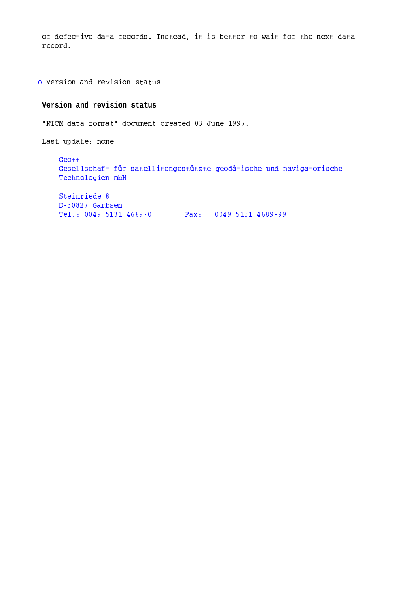or defective data records. Instead, it is better to wait for the next data record.

o Version and revision status

## Version and revision status

"RTCM data format" document created 03 June 1997.

Last update: none

 $Geo++$ Gesellschaft für satellitengestützte geodätische und navigatorische Technologien mbH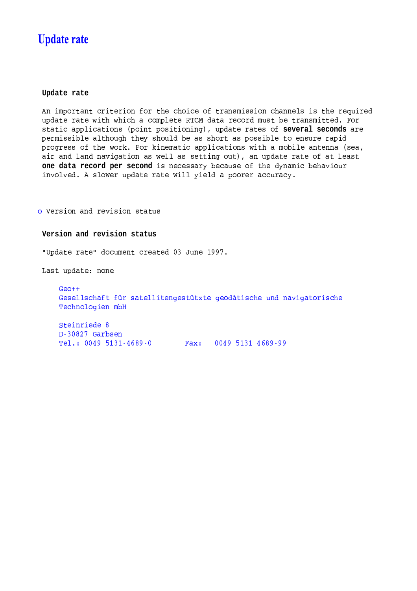# **Update rate**

### Update rate

An important criterion for the choice of transmission channels is the required update rate with which a complete RTCM data record must be transmitted. For static applications (point positioning), update rates of several seconds are permissible although they should be as short as possible to ensure rapid progress of the work. For kinematic applications with a mobile antenna (sea, air and land navigation as well as setting out), an update rate of at least one data record per second is necessary because of the dynamic behaviour involved. A slower update rate will yield a poorer accuracy.

o Version and revision status

## Version and revision status

"Update rate" document created 03 June 1997.

Last update: none

 $Geo++$ Gesellschaft für satellitengestützte geodätische und navigatorische Technologien mbH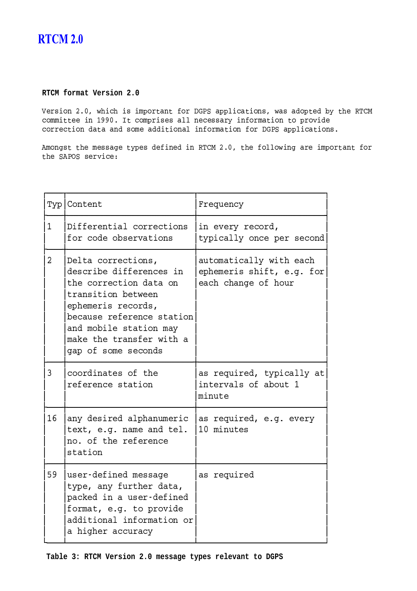# **RTCM 2.0**

## **RTCM format Version 2.0**

U-# -<\$)4 6 -! -#< 2 "- 9-8- H "22 -" --#G4 6"#5"-2 '
; 5W-\Q -)- ! -,\*\*\$:1 -)-2- #-#5"-5--#-#"-;5 -9-" - 32> - --- -<-" "5"-5#-)5"-- -"-< -9-" -!9-8- H "22 -" --#I\$

E-2 1 59-2 1 59-2 1 59-2 1 59-2 1 59-2 1 59-2 1 59-2 1 59-2 1 59-2 1 59-2 1 59-2 1 59-2 1 59-2 1 59-2 1 59-2 1 EH-N #-> -&

\_a`b`b`bvb`b`b`b`b`b`b`b`b`b`b`b`b`b`b`b`b`b`b`b`b`b`b`b`b`bvb`b`b`b`b`b`b`b`b`b`b`b`b`b`b`b`b`b`b`b`b`b`b`b`b`bc

|             | Typ   Content                                                                                                                                                                                                                 | Frequency                                                                   |
|-------------|-------------------------------------------------------------------------------------------------------------------------------------------------------------------------------------------------------------------------------|-----------------------------------------------------------------------------|
| $\mathbf 1$ | Differential corrections<br>for code observations                                                                                                                                                                             | in every record,<br>typically once per second                               |
| 2           | Delta corrections,<br>describe differences in<br>the correction data on<br>transition between<br>ephemeris records,<br>because reference station<br>and mobile station may<br>make the transfer with a<br>gap of some seconds | automatically with each<br>ephemeris shift, e.g. for<br>each change of hour |
| 3           | coordinates of the<br>reference station                                                                                                                                                                                       | as required, typically at<br>intervals of about 1<br>minute                 |
| 16          | any desired alphanumeric<br>text, e.g. name and tel.<br>no. of the reference<br>station                                                                                                                                       | as required, e.g. every<br>10 minutes                                       |
| 59          | user-defined message<br>type, any further data,<br>packed in a user-defined<br>format, e.g. to provide<br>additional information or<br>a higher accuracy                                                                      | as required                                                                 |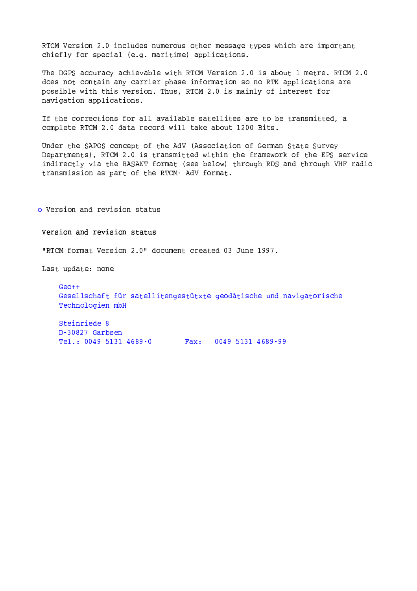RTCM Version 2.0 includes numerous other message types which are important chiefly for special (e.g. maritime) applications.

The DGPS accuracy achievable with RTCM Version 2.0 is about 1 metre. RTCM 2.0 does not contain any carrier phase information so no RTK applications are possible with this version. Thus, RTCM 2.0 is mainly of interest for navigation applications.

If the corrections for all available satellites are to be transmitted, a complete RTCM 2.0 data record will take about 1200 Bits.

Under the SAPOS concept of the AdV (Association of German State Survey Departments), RTCM 2.0 is transmitted within the framework of the EPS service indirectly via the RASANT format (see below) through RDS and through VHF radio transmission as part of the RTCM- AdV format.

o Version and revision status

Version and revision status

"RTCM format Version 2.0" document created 03 June 1997.

Last update: none

 $Geo++$ Gesellschaft für satellitengestützte geodätische und navigatorische Technologien mbH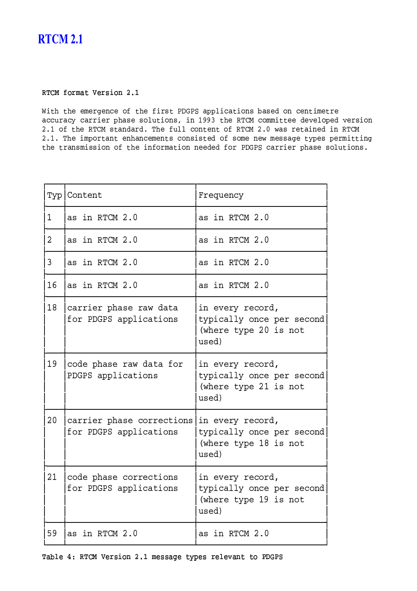# **RTCM 2.1**

### °-±²³]´-©¦µ«-®3¤¥¦-§¨-©ª!¶·¸

J 5- --5-<sup>9</sup> 89- -# H- -H "22 -" --#3
"#-5-<- - "--?-"-;!-"- -'2"-#!#--? -#4' -,\*\*- 8W-\Q]-)- 5-)>-)2->-# - \$),'-<sup>9</sup> 5W-\Q]# "--"-%\$:-89-?-!- - -9<W-\Q@\$) 6"#5- " --5 -<W-\Q \$),\$:-5 2 "- --"-- #<--# -# !-9<#-)5-<sup>6</sup> #-#"- ;)2#'2 - "-# -##- -<-<sup>9</sup> 5 -9-" -!---<9-8H- -H -"- -'2"-#!#--? -#%\$

|                | Typ   Content                                                        | Frequency                                                                       |
|----------------|----------------------------------------------------------------------|---------------------------------------------------------------------------------|
| $\mathbf 1$    | as in RTCM 2.0                                                       | as in RTCM 2.0                                                                  |
| $\overline{2}$ | as in RTCM 2.0                                                       | as in RTCM 2.0                                                                  |
| 3              | as in RTCM 2.0                                                       | as in RTCM 2.0                                                                  |
| 16             | as in RTCM 2.0                                                       | as in RTCM 2.0                                                                  |
| 18             | carrier phase raw data<br>for PDGPS applications                     | in every record,<br>typically once per second<br>(where type 20 is not<br>used) |
| 19             | code phase raw data for<br>PDGPS applications                        | in every record,<br>typically once per second<br>(where type 21 is not<br>used) |
| 20             | carrier phase corrections in every record,<br>for PDGPS applications | typically once per second<br>(where type 18 is not<br>used)                     |
| 21             | code phase corrections<br>for PDGPS applications                     | in every record,<br>typically once per second<br>(where type 19 is not<br>used) |
| 59             | as in RTCM 2.0                                                       | as in RTCM 2.0                                                                  |

±-«)ÀÁ¥!ÂÃ:°-±²³!¤¥¦-§¨-©ª!¶·¸'µ¥§-§«-Ä¥<®ÅÆ¥§5¦-¥Á-¥)«ª-®!®-©<Ç-ÈÉ-ÇÊ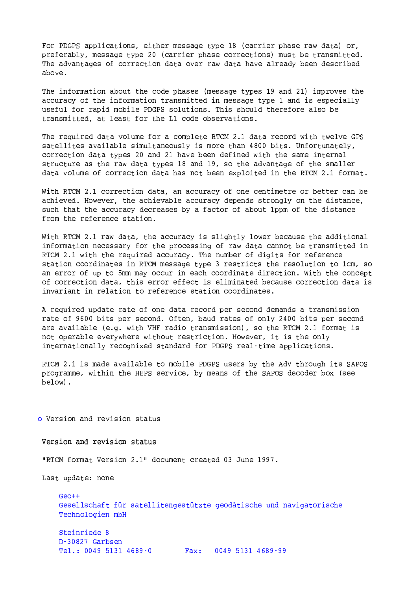For PDGPS applications, either message type 18 (carrier phase raw data) or, preferably, message type 20 (carrier phase corrections) must be transmitted. The advantages of correction data over raw data have already been described above.

The information about the code phases (message types 19 and 21) improves the accuracy of the information transmitted in message type 1 and is especially useful for rapid mobile PDGPS solutions. This should therefore also be transmitted, at least for the L1 code observations.

The required data volume for a complete RTCM 2.1 data record with twelve GPS satellites available simultaneously is more than 4800 bits. Unfortunately, correction data types 20 and 21 have been defined with the same internal structure as the raw data types 18 and 19, so the advantage of the smaller data volume of correction data has not been exploited in the RTCM 2.1 format.

With RTCM 2.1 correction data, an accuracy of one centimetre or better can be achieved. However, the achievable accuracy depends strongly on the distance, such that the accuracy decreases by a factor of about 1ppm of the distance from the reference station.

With RTCM 2.1 raw data, the accuracy is slightly lower because the additional information necessary for the processing of raw data cannot be transmitted in RTCM 2.1 with the required accuracy. The number of digits for reference station coordinates in RTCM message type 3 restricts the resolution to 1cm, so an error of up to 5mm may occur in each coordinate direction. With the concept of correction data, this error effect is eliminated because correction data is invariant in relation to reference station coordinates.

A required update rate of one data record per second demands a transmission rate of 9600 bits per second. Often, baud rates of only 2400 bits per second are available (e.g. with VHF radio transmission), so the RTCM 2.1 format is not operable everywhere without restriction. However, it is the only internationally recognized standard for PDGPS real-time applications.

RTCM 2.1 is made available to mobile PDGPS users by the AdV through its SAPOS programme, within the HEPS service, by means of the SAPOS decoder box (see  $below)$ .

o Version and revision status

Version and revision status

"RTCM format Version 2.1" document created 03 June 1997.

Last update: none

 $GeO++$ Gesellschaft für satellitengestützte geodätische und navigatorische Technologien mbH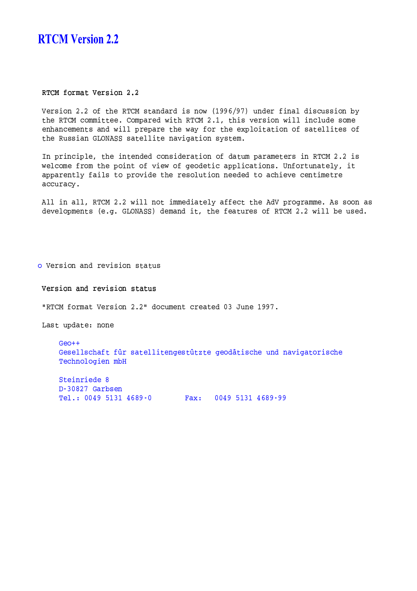## **RTCM Version 2.2**

RTCM format Version 2.2

Version 2.2 of the RTCM standard is now (1996/97) under final discussion by the RTCM committee. Compared with RTCM 2.1, this version will include some enhancements and will prepare the way for the exploitation of satellites of the Russian GLONASS satellite navigation system.

In principle, the intended consideration of datum parameters in RTCM 2.2 is welcome from the point of view of geodetic applications. Unfortunately, it apparently fails to provide the resolution needed to achieve centimetre accuracy.

All in all, RTCM 2.2 will not immediately affect the AdV programme. As soon as developments (e.g. GLONASS) demand it, the features of RTCM 2.2 will be used.

o Version and revision status

Version and revision status

"RTCM format Version 2.2" document created 03 June 1997.

Last update: none

 $Geo++$ Gesellschaft für satellitengestützte geodätische und navigatorische Technologien mbH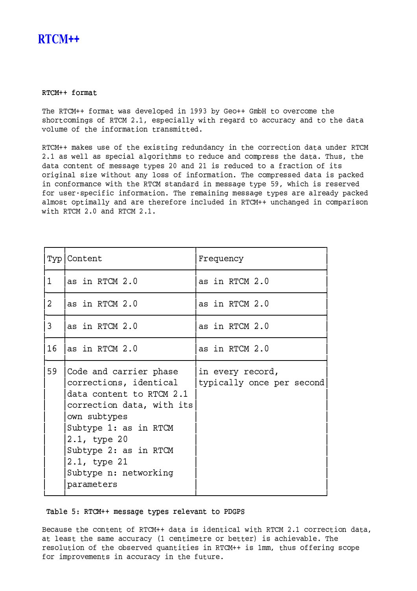## **RTCM++**

### RTCM++ format

The RTCM++ format was developed in 1993 by Geo++ GmbH to overcome the shortcomings of RTCM 2.1, especially with regard to accuracy and to the data volume of the information transmitted.

RTCM++ makes use of the existing redundancy in the correction data under RTCM 2.1 as well as special algorithms to reduce and compress the data. Thus, the data content of message types 20 and 21 is reduced to a fraction of its original size without any loss of information. The compressed data is packed in conformance with the RTCM standard in message type 59, which is reserved for user-specific information. The remaining message types are already packed almost optimally and are therefore included in RTCM++ unchanged in comparison with RTCM 2.0 and RTCM 2.1.

|                | Typ   Content                                                                                                                                                                                                                                      | Frequency                                     |
|----------------|----------------------------------------------------------------------------------------------------------------------------------------------------------------------------------------------------------------------------------------------------|-----------------------------------------------|
| 1              | as in RTCM 2.0                                                                                                                                                                                                                                     | as in RTCM 2.0                                |
| $\overline{2}$ | as in RTCM 2.0                                                                                                                                                                                                                                     | as in RTCM 2.0                                |
| 3              | as in RTCM 2.0                                                                                                                                                                                                                                     | as in RTCM 2.0                                |
| 16             | as in RTCM 2.0                                                                                                                                                                                                                                     | as in RTCM 2.0                                |
| 59             | Code and carrier phase<br>corrections, identical<br>data content to RTCM 2.1<br>correction data, with its<br>own subtypes<br>Subtype 1: as in RTCM<br>2.1, type 20<br>Subtype 2: as in RTCM<br>2.1, type 21<br>Subtype n: networking<br>parameters | in every record,<br>typically once per second |

Table 5: RTCM++ message types relevant to PDGPS

Because the content of RTCM++ data is identical with RTCM 2.1 correction data, at least the same accuracy (1 centimetre or better) is achievable. The resolution of the observed quantities in RTCM++ is 1mm, thus offering scope for improvements in accuracy in the future.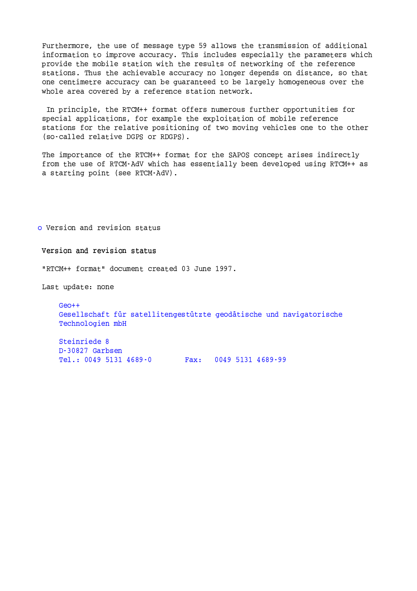Furthermore, the use of message type 59 allows the transmission of additional information to improve accuracy. This includes especially the parameters which provide the mobile station with the results of networking of the reference stations. Thus the achievable accuracy no longer depends on distance, so that one centimetre accuracy can be quaranteed to be largely homogeneous over the whole area covered by a reference station network.

In principle, the RTCM++ format offers numerous further opportunities for special applications, for example the exploitation of mobile reference stations for the relative positioning of two moving vehicles one to the other (so-called relative DGPS or RDGPS).

The importance of the RTCM++ format for the SAPOS concept arises indirectly from the use of RTCM-AdV which has essentially been developed using RTCM++ as a starting point (see RTCM-AdV).

o Version and revision status

Version and revision status

"RTCM++ format" document created 03 June 1997.

Last update: none

 $GeO++$ Gesellschaft für satellitengestützte geodätische und navigatorische Technologien mbH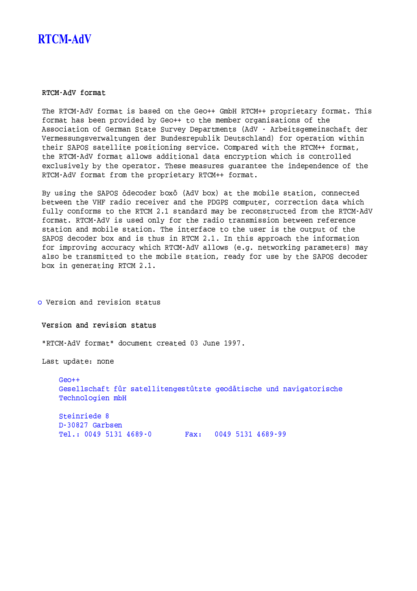# **RTCM-AdV**

### RTCM-AdV format

The RTCM-AdV format is based on the Geo++ GmbH RTCM++ proprietary format. This format has been provided by Geo++ to the member organisations of the Association of German State Survey Departments (AdV - Arbeitsgemeinschaft der Vermessungsverwaltungen der Bundesrepublik Deutschland) for operation within their SAPOS satellite positioning service. Compared with the RTCM++ format, the RTCM-AdV format allows additional data encryption which is controlled exclusively by the operator. These measures quarantee the independence of the RTCM-AdV format from the proprietary RTCM++ format.

By using the SAPOS ôdecoder boxo (AdV box) at the mobile station, connected between the VHF radio receiver and the PDGPS computer, correction data which fully conforms to the RTCM 2.1 standard may be reconstructed from the RTCM-AdV format. RTCM-AdV is used only for the radio transmission between reference station and mobile station. The interface to the user is the output of the SAPOS decoder box and is thus in RTCM 2.1. In this approach the information for improving accuracy which RTCM-AdV allows (e.g. networking parameters) may also be transmitted to the mobile station, ready for use by the SAPOS decoder box in generating RTCM 2.1.

o Version and revision status

Version and revision status

"RTCM-AdV format" document created 03 June 1997.

Last update: none

 $Geo++$ Gesellschaft für satellitengestützte geodätische und navigatorische Technologien mbH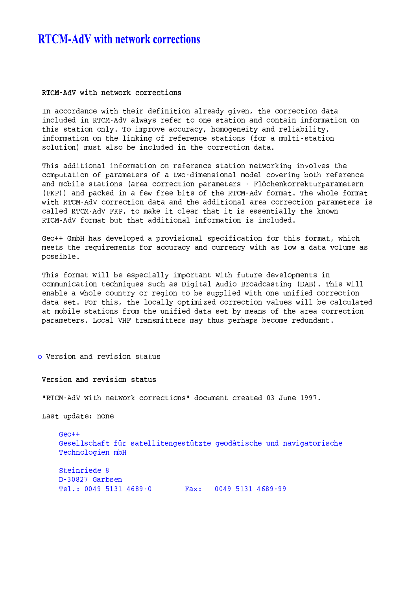# **RTCM-AdV** with network corrections

#### RTCM-AdV with network corrections

In accordance with their definition already given, the correction data included in RTCM-AdV always refer to one station and contain information on this station only. To improve accuracy, homogeneity and reliability, information on the linking of reference stations (for a multi-station solution) must also be included in the correction data.

This additional information on reference station networking involves the computation of parameters of a two-dimensional model covering both reference and mobile stations (area correction parameters - Flõchenkorrekturparametern (FKP)) and packed in a few free bits of the RTCM-AdV format. The whole format with RTCM-AdV correction data and the additional area correction parameters is called RTCM-AdV FKP, to make it clear that it is essentially the known RTCM-AdV format but that additional information is included.

Geo++ GmbH has developed a provisional specification for this format, which meets the requirements for accuracy and currency with as low a data volume as possible.

This format will be especially important with future developments in communication techniques such as Digital Audio Broadcasting (DAB). This will enable a whole country or region to be supplied with one unified correction data set. For this, the locally optimized correction values will be calculated at mobile stations from the unified data set by means of the area correction parameters. Local VHF transmitters may thus perhaps become redundant.

o Version and revision status

Version and revision status

"RTCM-AdV with network corrections" document created 03 June 1997.

Last update: none

 $Geo++$ Gesellschaft für satellitengestützte geodätische und navigatorische Technologien mbH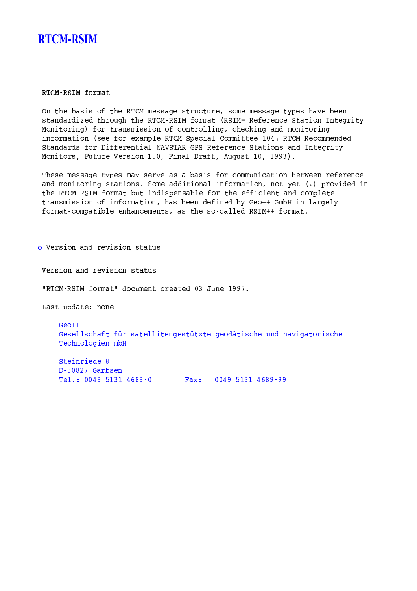# **RTCM-RSIM**

### RTCM-RSIM format

On the basis of the RTCM message structure, some message types have been standardized through the RTCM-RSIM format (RSIM= Reference Station Integrity Monitoring) for transmission of controlling, checking and monitoring information (see for example RTCM Special Committee 104: RTCM Recommended Standards for Differential NAVSTAR GPS Reference Stations and Integrity Monitors, Future Version 1.0, Final Draft, August 10, 1993).

These message types may serve as a basis for communication between reference and monitoring stations. Some additional information, not yet (?) provided in the RTCM-RSIM format but indispensable for the efficient and complete transmission of information, has been defined by Geo++ GmbH in largely format-compatible enhancements, as the so-called RSIM++ format.

o Version and revision status

#### Version and revision status

"RTCM-RSIM format" document created 03 June 1997.

Last update: none

 $Geo++$ Gesellschaft für satellitengestützte geodätische und navigatorische Technologien mbH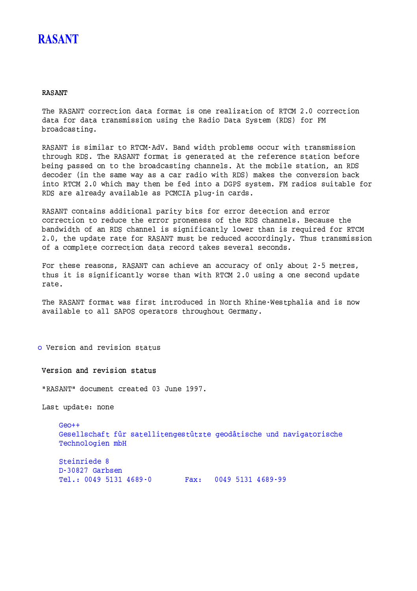# **RASANT**

### **RASANT**

The RASANT correction data format is one realization of RTCM 2.0 correction data for data transmission using the Radio Data System (RDS) for FM broadcasting.

RASANT is similar to RTCM-AdV. Band width problems occur with transmission through RDS. The RASANT format is generated at the reference station before being passed on to the broadcasting channels. At the mobile station, an RDS decoder (in the same way as a car radio with RDS) makes the conversion back into RTCM 2.0 which may then be fed into a DGPS system. FM radios suitable for RDS are already available as PCMCIA plug-in cards.

RASANT contains additional parity bits for error detection and error correction to reduce the error proneness of the RDS channels. Because the bandwidth of an RDS channel is significantly lower than is required for RTCM 2.0, the update rate for RASANT must be reduced accordingly. Thus transmission of a complete correction data record takes several seconds.

For these reasons, RASANT can achieve an accuracy of only about 2-5 metres, thus it is significantly worse than with RTCM 2.0 using a one second update rate.

The RASANT format was first introduced in North Rhine-Westphalia and is now available to all SAPOS operators throughout Germany.

o Version and revision status

Version and revision status

"RASANT" document created 03 June 1997.

Last update: none

 $Geo++$ Gesellschaft für satellitengestützte geodätische und navigatorische Technologien mbH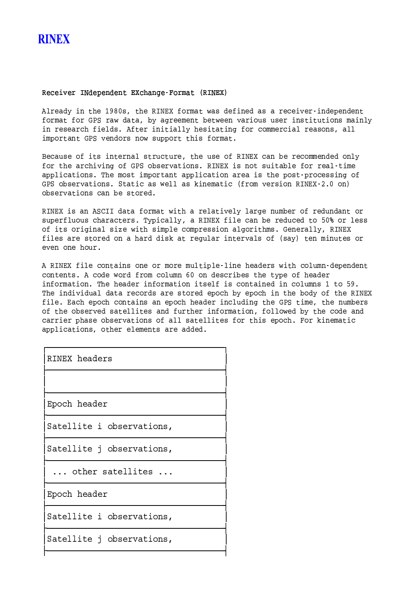### Receiver INdependent EXchange-Format (RINEX)

Already in the 1980s, the RINEX format was defined as a receiver-independent format for GPS raw data, by agreement between various user institutions mainly in research fields. After initially hesitating for commercial reasons, all important GPS vendors now support this format.

Because of its internal structure, the use of RINEX can be recommended only for the archiving of GPS observations. RINEX is not suitable for real-time applications. The most important application area is the post-processing of GPS observations. Static as well as kinematic (from version RINEX-2.0 on) observations can be stored.

RINEX is an ASCII data format with a relatively large number of redundant or superfluous characters. Typically, a RINEX file can be reduced to 50% or less of its original size with simple compression algorithms. Generally, RINEX files are stored on a hard disk at regular intervals of (say) ten minutes or even one hour.

A RINEX file contains one or more multiple-line headers with column-dependent contents. A code word from column 60 on describes the type of header information. The header information itself is contained in columns 1 to 59. The individual data records are stored epoch by epoch in the body of the RINEX file. Each epoch contains an epoch header including the GPS time, the numbers of the observed satellites and further information, followed by the code and carrier phase observations of all satellites for this epoch. For kinematic applications, other elements are added.

| RINEX headers             |  |
|---------------------------|--|
|                           |  |
| Epoch header              |  |
| Satellite i observations, |  |
| Satellite j observations, |  |
| other satellites          |  |
| Epoch header              |  |
| Satellite i observations, |  |
| Satellite j observations, |  |
|                           |  |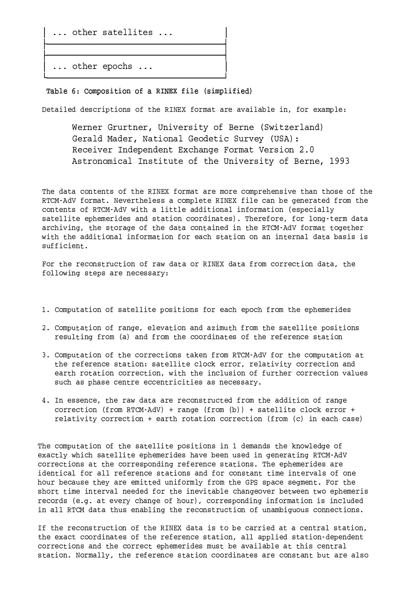... other satellites ...

... other epochs ...

Table 6: Composition of a RINEX file (simplified)

Detailed descriptions of the RINEX format are available in, for example:

Werner Grurtner, University of Berne (Switzerland) Gerald Mader, National Geodetic Survey (USA): Receiver Independent Exchange Format Version 2.0 Astronomical Institute of the University of Berne, 1993

The data contents of the RINEX format are more comprehensive than those of the RTCM-AdV format. Nevertheless a complete RINEX file can be generated from the contents of RTCM-AdV with a little additional information (especially satellite ephemerides and station coordinates). Therefore, for long-term data archiving, the storage of the data contained in the RTCM-AdV format together with the additional information for each station on an internal data basis is sufficient.

For the reconstruction of raw data or RINEX data from correction data, the following steps are necessary:

- 1. Computation of satellite positions for each epoch from the ephemerides
- 2. Computation of range, elevation and azimuth from the satellite positions resulting from (a) and from the coordinates of the reference station
- 3. Computation of the corrections taken from RTCM-AdV for the computation at the reference station: satellite clock error, relativity correction and earth rotation correction, with the inclusion of further correction values such as phase centre eccentricities as necessary.
- 4. In essence, the raw data are reconstructed from the addition of range correction (from RTCM-AdV) + range (from  $(b)$ ) + satellite clock error + relativity correction + earth rotation correction (from (c) in each case)

The computation of the satellite positions in 1 demands the knowledge of exactly which satellite ephemerides have been used in generating RTCM-AdV corrections at the corresponding reference stations. The ephemerides are identical for all reference stations and for constant time intervals of one hour because they are emitted uniformly from the GPS space segment. For the short time interval needed for the inevitable changeover between two ephemeris records (e.g. at every change of hour), corresponding information is included in all RTCM data thus enabling the reconstruction of unambiguous connections.

If the reconstruction of the RINEX data is to be carried at a central station, the exact coordinates of the reference station, all applied station-dependent corrections and the correct ephemerides must be available at this central station. Normally, the reference station coordinates are constant but are also